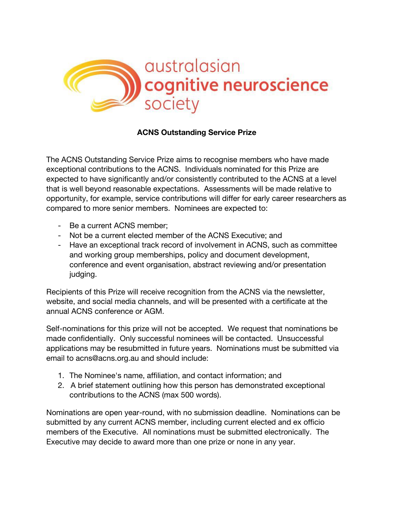

## **ACNS Outstanding Service Prize**

The ACNS Outstanding Service Prize aims to recognise members who have made exceptional contributions to the ACNS. Individuals nominated for this Prize are expected to have significantly and/or consistently contributed to the ACNS at a level that is well beyond reasonable expectations. Assessments will be made relative to opportunity, for example, service contributions will differ for early career researchers as compared to more senior members. Nominees are expected to:

- Be a current ACNS member;
- Not be a current elected member of the ACNS Executive; and
- Have an exceptional track record of involvement in ACNS, such as committee and working group memberships, policy and document development, conference and event organisation, abstract reviewing and/or presentation judging.

Recipients of this Prize will receive recognition from the ACNS via the newsletter, website, and social media channels, and will be presented with a certificate at the annual ACNS conference or AGM.

Self-nominations for this prize will not be accepted. We request that nominations be made confidentially. Only successful nominees will be contacted. Unsuccessful applications may be resubmitted in future years. Nominations must be submitted via email to acns@acns.org.au and should include:

- 1. The Nominee's name, affiliation, and contact information; and
- 2. A brief statement outlining how this person has demonstrated exceptional contributions to the ACNS (max 500 words).

Nominations are open year-round, with no submission deadline. Nominations can be submitted by any current ACNS member, including current elected and ex officio members of the Executive. All nominations must be submitted electronically. The Executive may decide to award more than one prize or none in any year.